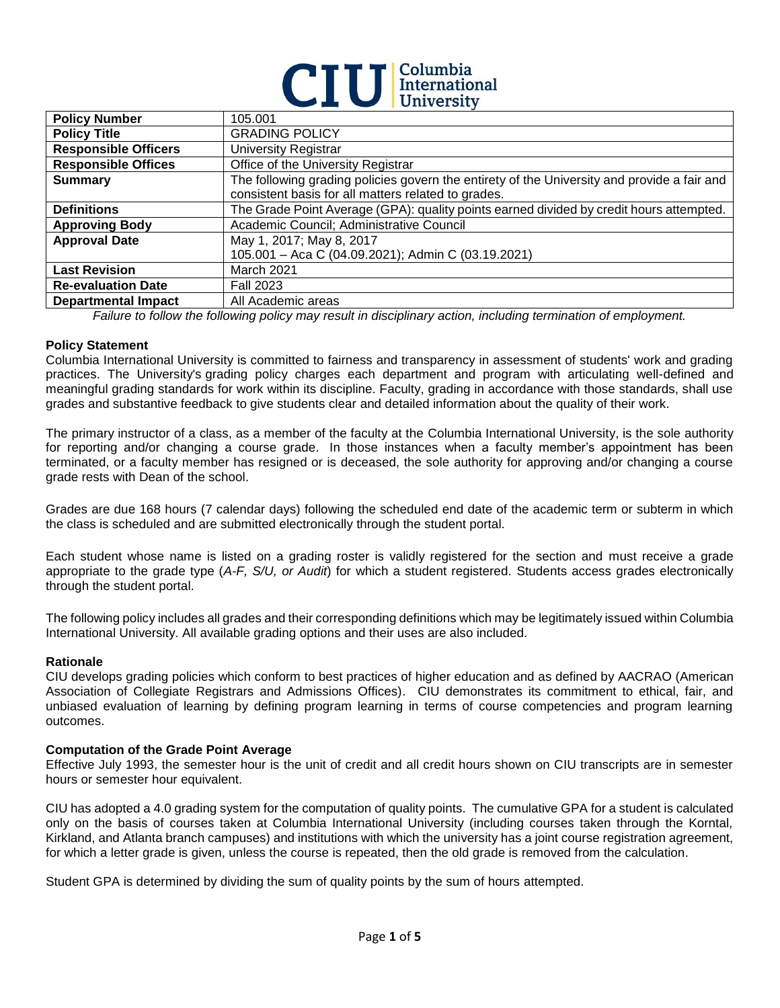

| <b>Policy Number</b>        | 105.001                                                                                     |  |
|-----------------------------|---------------------------------------------------------------------------------------------|--|
| <b>Policy Title</b>         | <b>GRADING POLICY</b>                                                                       |  |
| <b>Responsible Officers</b> | <b>University Registrar</b>                                                                 |  |
| <b>Responsible Offices</b>  | Office of the University Registrar                                                          |  |
| <b>Summary</b>              | The following grading policies govern the entirety of the University and provide a fair and |  |
|                             | consistent basis for all matters related to grades.                                         |  |
| <b>Definitions</b>          | The Grade Point Average (GPA): quality points earned divided by credit hours attempted.     |  |
| <b>Approving Body</b>       | Academic Council; Administrative Council                                                    |  |
| <b>Approval Date</b>        | May 1, 2017; May 8, 2017                                                                    |  |
|                             | 105.001 - Aca C (04.09.2021); Admin C (03.19.2021)                                          |  |
| <b>Last Revision</b>        | March 2021                                                                                  |  |
| <b>Re-evaluation Date</b>   | <b>Fall 2023</b>                                                                            |  |
| <b>Departmental Impact</b>  | All Academic areas                                                                          |  |

*Failure to follow the following policy may result in disciplinary action, including termination of employment.*

#### **Policy Statement**

Columbia International University is committed to fairness and transparency in assessment of students' work and grading practices. The University's grading policy charges each department and program with articulating well-defined and meaningful grading standards for work within its discipline. Faculty, grading in accordance with those standards, shall use grades and substantive feedback to give students clear and detailed information about the quality of their work.

The primary instructor of a class, as a member of the faculty at the Columbia International University, is the sole authority for reporting and/or changing a course grade. In those instances when a faculty member's appointment has been terminated, or a faculty member has resigned or is deceased, the sole authority for approving and/or changing a course grade rests with Dean of the school.

Grades are due 168 hours (7 calendar days) following the scheduled end date of the academic term or subterm in which the class is scheduled and are submitted electronically through the student portal.

Each student whose name is listed on a grading roster is validly registered for the section and must receive a grade appropriate to the grade type (*A-F, S/U, or Audit*) for which a student registered. Students access grades electronically through the student portal.

The following policy includes all grades and their corresponding definitions which may be legitimately issued within Columbia International University. All available grading options and their uses are also included.

#### **Rationale**

CIU develops grading policies which conform to best practices of higher education and as defined by AACRAO (American Association of Collegiate Registrars and Admissions Offices). CIU demonstrates its commitment to ethical, fair, and unbiased evaluation of learning by defining program learning in terms of course competencies and program learning outcomes.

#### **Computation of the Grade Point Average**

Effective July 1993, the semester hour is the unit of credit and all credit hours shown on CIU transcripts are in semester hours or semester hour equivalent.

CIU has adopted a 4.0 grading system for the computation of quality points. The cumulative GPA for a student is calculated only on the basis of courses taken at Columbia International University (including courses taken through the Korntal, Kirkland, and Atlanta branch campuses) and institutions with which the university has a joint course registration agreement, for which a letter grade is given, unless the course is repeated, then the old grade is removed from the calculation.

Student GPA is determined by dividing the sum of quality points by the sum of hours attempted.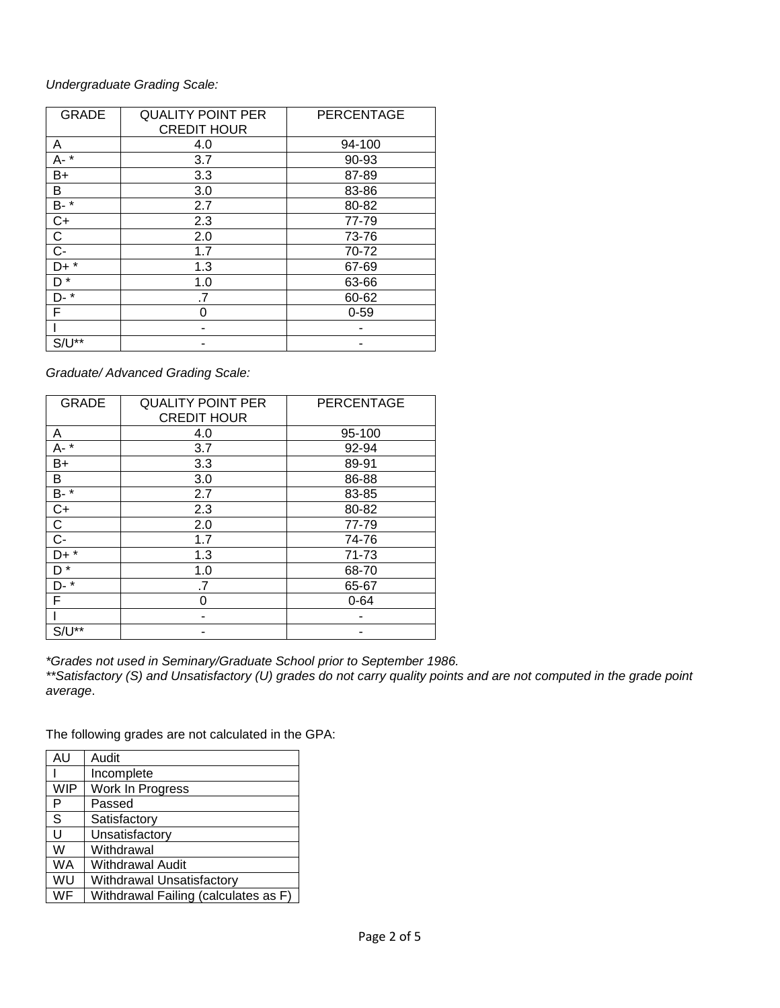## *Undergraduate Grading Scale:*

| <b>GRADE</b>   | <b>QUALITY POINT PER</b><br><b>CREDIT HOUR</b> | <b>PERCENTAGE</b> |
|----------------|------------------------------------------------|-------------------|
| A              | 4.0                                            | 94-100            |
| A-*            | 3.7                                            | 90-93             |
| B+             | 3.3                                            | 87-89             |
| В              | 3.0                                            | 83-86             |
| B- *           | 2.7                                            | 80-82             |
| $C+$           | 2.3                                            | 77-79             |
| C              | 2.0                                            | 73-76             |
| $\overline{C}$ | 1.7                                            | 70-72             |
| D+ *           | 1.3                                            | 67-69             |
| D <sup>*</sup> | 1.0                                            | 63-66             |
| D- *           | .7                                             | 60-62             |
| F              | ი                                              | $0 - 59$          |
|                |                                                |                   |
| $S/U^{**}$     |                                                |                   |

*Graduate/ Advanced Grading Scale:*

| <b>GRADE</b>   | <b>QUALITY POINT PER</b><br><b>CREDIT HOUR</b> | PERCENTAGE |
|----------------|------------------------------------------------|------------|
| Α              | 4.0                                            | 95-100     |
| $A - *$        | 3.7                                            | 92-94      |
| B+             | 3.3                                            | 89-91      |
| В              | 3.0                                            | 86-88      |
| B- *           | 2.7                                            | 83-85      |
| $C+$           | 2.3                                            | 80-82      |
| С              | 2.0                                            | 77-79      |
| $\overline{C}$ | 1.7                                            | 74-76      |
| $D+$ *         | 1.3                                            | 71-73      |
| D <sup>*</sup> | 1.0                                            | 68-70      |
| $\ast$<br>D-   | .7                                             | 65-67      |
| F              | 0                                              | $0 - 64$   |
|                |                                                |            |
| $S/U^{**}$     |                                                |            |

*\*Grades not used in Seminary/Graduate School prior to September 1986. \*\*Satisfactory (S) and Unsatisfactory (U) grades do not carry quality points and are not computed in the grade point average*.

The following grades are not calculated in the GPA:

| AU        | Audit                                |
|-----------|--------------------------------------|
|           | Incomplete                           |
| WIP       | Work In Progress                     |
| P         | Passed                               |
| S         | Satisfactory                         |
| U         | Unsatisfactory                       |
| W         | Withdrawal                           |
| <b>WA</b> | Withdrawal Audit                     |
| WU        | <b>Withdrawal Unsatisfactory</b>     |
| WF        | Withdrawal Failing (calculates as F) |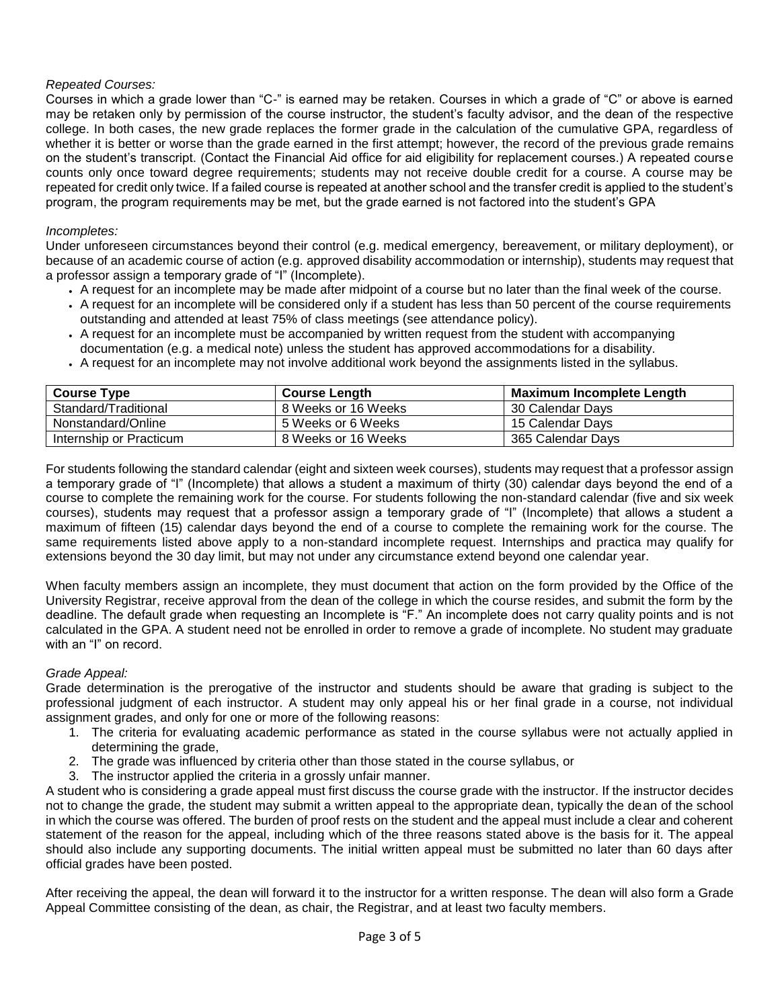## *Repeated Courses:*

Courses in which a grade lower than "C-" is earned may be retaken. Courses in which a grade of "C" or above is earned may be retaken only by permission of the course instructor, the student's faculty advisor, and the dean of the respective college. In both cases, the new grade replaces the former grade in the calculation of the cumulative GPA, regardless of whether it is better or worse than the grade earned in the first attempt; however, the record of the previous grade remains on the student's transcript. (Contact the Financial Aid office for aid eligibility for replacement courses.) A repeated course counts only once toward degree requirements; students may not receive double credit for a course. A course may be repeated for credit only twice. If a failed course is repeated at another school and the transfer credit is applied to the student's program, the program requirements may be met, but the grade earned is not factored into the student's GPA

#### *Incompletes:*

Under unforeseen circumstances beyond their control (e.g. medical emergency, bereavement, or military deployment), or because of an academic course of action (e.g. approved disability accommodation or internship), students may request that a professor assign a temporary grade of "I" (Incomplete).

- A request for an incomplete may be made after midpoint of a course but no later than the final week of the course.
- A request for an incomplete will be considered only if a student has less than 50 percent of the course requirements outstanding and attended at least 75% of class meetings (see attendance policy).
- A request for an incomplete must be accompanied by written request from the student with accompanying documentation (e.g. a medical note) unless the student has approved accommodations for a disability.
- A request for an incomplete may not involve additional work beyond the assignments listed in the syllabus.

| <b>Course Type</b>      | <b>Course Length</b> | <b>Maximum Incomplete Length</b> |
|-------------------------|----------------------|----------------------------------|
| Standard/Traditional    | 8 Weeks or 16 Weeks  | 30 Calendar Days                 |
| Nonstandard/Online      | 5 Weeks or 6 Weeks   | 15 Calendar Days                 |
| Internship or Practicum | 8 Weeks or 16 Weeks  | 365 Calendar Days                |

For students following the standard calendar (eight and sixteen week courses), students may request that a professor assign a temporary grade of "I" (Incomplete) that allows a student a maximum of thirty (30) calendar days beyond the end of a course to complete the remaining work for the course. For students following the non-standard calendar (five and six week courses), students may request that a professor assign a temporary grade of "I" (Incomplete) that allows a student a maximum of fifteen (15) calendar days beyond the end of a course to complete the remaining work for the course. The same requirements listed above apply to a non-standard incomplete request. Internships and practica may qualify for extensions beyond the 30 day limit, but may not under any circumstance extend beyond one calendar year.

When faculty members assign an incomplete, they must document that action on the form provided by the Office of the University Registrar, receive approval from the dean of the college in which the course resides, and submit the form by the deadline. The default grade when requesting an Incomplete is "F." An incomplete does not carry quality points and is not calculated in the GPA. A student need not be enrolled in order to remove a grade of incomplete. No student may graduate with an "I" on record.

#### *Grade Appeal:*

Grade determination is the prerogative of the instructor and students should be aware that grading is subject to the professional judgment of each instructor. A student may only appeal his or her final grade in a course, not individual assignment grades, and only for one or more of the following reasons:

- 1. The criteria for evaluating academic performance as stated in the course syllabus were not actually applied in determining the grade,
- 2. The grade was influenced by criteria other than those stated in the course syllabus, or
- 3. The instructor applied the criteria in a grossly unfair manner.

A student who is considering a grade appeal must first discuss the course grade with the instructor. If the instructor decides not to change the grade, the student may submit a written appeal to the appropriate dean, typically the dean of the school in which the course was offered. The burden of proof rests on the student and the appeal must include a clear and coherent statement of the reason for the appeal, including which of the three reasons stated above is the basis for it. The appeal should also include any supporting documents. The initial written appeal must be submitted no later than 60 days after official grades have been posted.

After receiving the appeal, the dean will forward it to the instructor for a written response. The dean will also form a Grade Appeal Committee consisting of the dean, as chair, the Registrar, and at least two faculty members.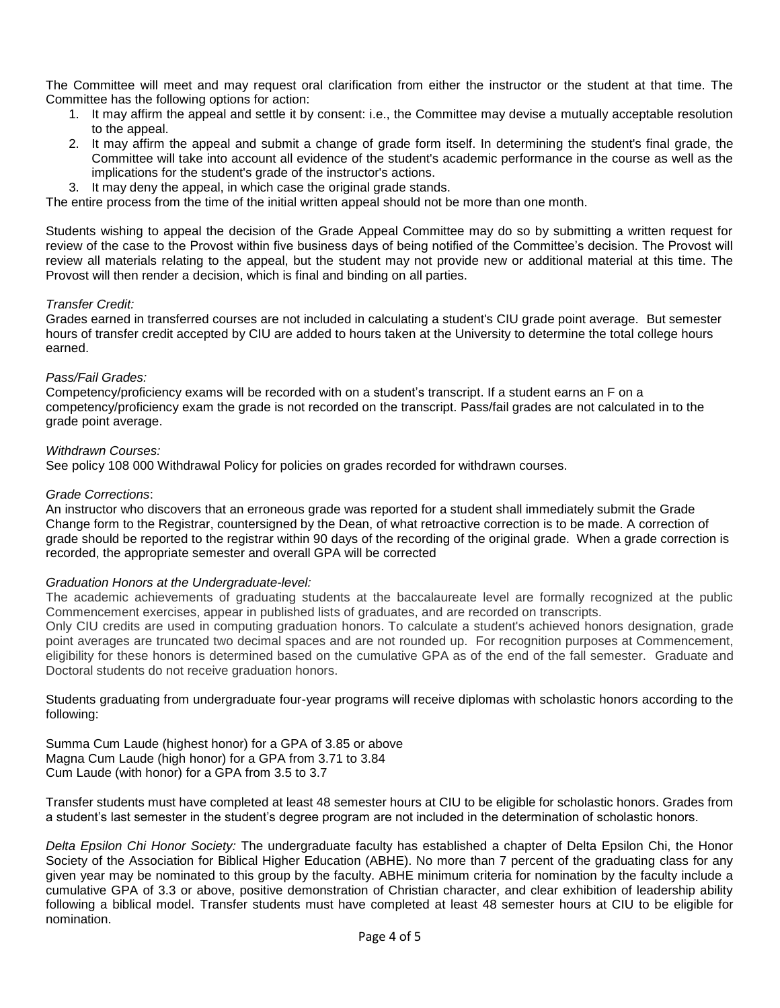The Committee will meet and may request oral clarification from either the instructor or the student at that time. The Committee has the following options for action:

- 1. It may affirm the appeal and settle it by consent: i.e., the Committee may devise a mutually acceptable resolution to the appeal.
- 2. It may affirm the appeal and submit a change of grade form itself. In determining the student's final grade, the Committee will take into account all evidence of the student's academic performance in the course as well as the implications for the student's grade of the instructor's actions.
- 3. It may deny the appeal, in which case the original grade stands.

The entire process from the time of the initial written appeal should not be more than one month.

Students wishing to appeal the decision of the Grade Appeal Committee may do so by submitting a written request for review of the case to the Provost within five business days of being notified of the Committee's decision. The Provost will review all materials relating to the appeal, but the student may not provide new or additional material at this time. The Provost will then render a decision, which is final and binding on all parties.

#### *Transfer Credit:*

Grades earned in transferred courses are not included in calculating a student's CIU grade point average. But semester hours of transfer credit accepted by CIU are added to hours taken at the University to determine the total college hours earned.

#### *Pass/Fail Grades:*

Competency/proficiency exams will be recorded with on a student's transcript. If a student earns an F on a competency/proficiency exam the grade is not recorded on the transcript. Pass/fail grades are not calculated in to the grade point average.

#### *Withdrawn Courses:*

See policy 108 000 Withdrawal Policy for policies on grades recorded for withdrawn courses.

### *Grade Corrections*:

An instructor who discovers that an erroneous grade was reported for a student shall immediately submit the Grade Change form to the Registrar, countersigned by the Dean, of what retroactive correction is to be made. A correction of grade should be reported to the registrar within 90 days of the recording of the original grade. When a grade correction is recorded, the appropriate semester and overall GPA will be corrected

#### *Graduation Honors at the Undergraduate-level:*

The academic achievements of graduating students at the baccalaureate level are formally recognized at the public Commencement exercises, appear in published lists of graduates, and are recorded on transcripts.

Only CIU credits are used in computing graduation honors. To calculate a student's achieved honors designation, grade point averages are truncated two decimal spaces and are not rounded up. For recognition purposes at Commencement, eligibility for these honors is determined based on the cumulative GPA as of the end of the fall semester. Graduate and Doctoral students do not receive graduation honors.

Students graduating from undergraduate four-year programs will receive diplomas with scholastic honors according to the following:

Summa Cum Laude (highest honor) for a GPA of 3.85 or above Magna Cum Laude (high honor) for a GPA from 3.71 to 3.84 Cum Laude (with honor) for a GPA from 3.5 to 3.7

Transfer students must have completed at least 48 semester hours at CIU to be eligible for scholastic honors. Grades from a student's last semester in the student's degree program are not included in the determination of scholastic honors.

*Delta Epsilon Chi Honor Society:* The undergraduate faculty has established a chapter of Delta Epsilon Chi, the Honor Society of the Association for Biblical Higher Education (ABHE). No more than 7 percent of the graduating class for any given year may be nominated to this group by the faculty. ABHE minimum criteria for nomination by the faculty include a cumulative GPA of 3.3 or above, positive demonstration of Christian character, and clear exhibition of leadership ability following a biblical model. Transfer students must have completed at least 48 semester hours at CIU to be eligible for nomination.